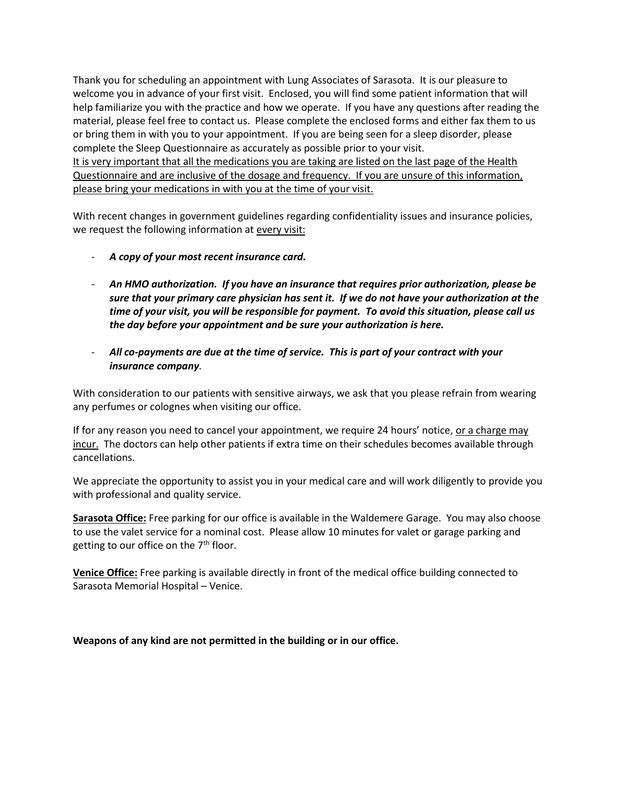Thank you for scheduling an appointment with Lung Associates of Sarasota. It is our pleasure to welcome you in advance of your first visit. Enclosed, you will find some patient information that will help familiarize you with the practice and how we operate. If you have any questions after reading the material, please feel free to contact us. Please complete the enclosed forms and either fax them to us or bring them in with you to your appointment. If you are being seen for a sleep disorder, please complete the Sleep Questionnaire as accurately as possible prior to your visit. It is very important that all the medications you are taking are listed on the last page of the Health Questionnaire and are inclusive of the dosage and frequency. If you are unsure of this information, please bring your medications in with you at the time of your visit.

With recent changes in government guidelines regarding confidentiality issues and insurance policies, we request the following information at every visit:

- *A copy of your most recent insurance card.*
- *An HMO authorization. If you have an insurance that requires prior authorization, please be sure that your primary care physician has sent it. If we do not have your authorization at the time of your visit, you will be responsible for payment. To avoid this situation, please call us the day before your appointment and be sure your authorization is here.*
- *All co-payments are due at the time of service. This is part of your contract with your insurance company.*

With consideration to our patients with sensitive airways, we ask that you please refrain from wearing any perfumes or colognes when visiting our office.

If for any reason you need to cancel your appointment, we require 24 hours' notice, or a charge may incur. The doctors can help other patients if extra time on their schedules becomes available through cancellations.

We appreciate the opportunity to assist you in your medical care and will work diligently to provide you with professional and quality service.

**Sarasota Office:** Free parking for our office is available in the Waldemere Garage. You may also choose to use the valet service for a nominal cost. Please allow 10 minutes for valet or garage parking and getting to our office on the  $7<sup>th</sup>$  floor.

**Venice Office:** Free parking is available directly in front of the medical office building connected to Sarasota Memorial Hospital – Venice.

**Weapons of any kind are not permitted in the building or in our office.**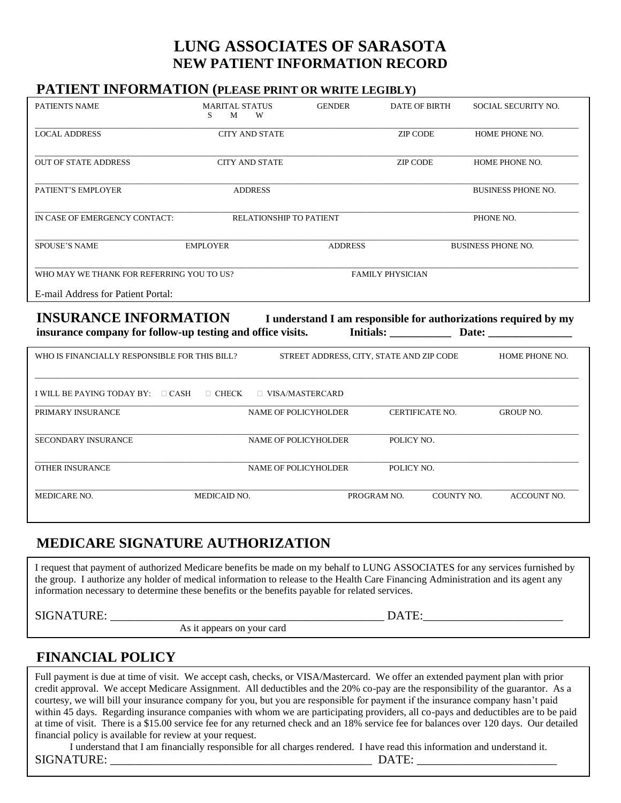# **LUNG ASSOCIATES OF SARASOTA NEW PATIENT INFORMATION RECORD**

#### **PATIENT INFORMATION (PLEASE PRINT OR WRITE LEGIBLY)**

| PATIENTS NAME                             | <b>MARITAL STATUS</b><br>M<br><b>W</b><br>S | <b>GENDER</b>  | <b>DATE OF BIRTH</b>    | SOCIAL SECURITY NO.       |
|-------------------------------------------|---------------------------------------------|----------------|-------------------------|---------------------------|
| <b>LOCAL ADDRESS</b>                      | <b>CITY AND STATE</b>                       |                | <b>ZIP CODE</b>         | HOME PHONE NO.            |
| <b>OUT OF STATE ADDRESS</b>               | <b>CITY AND STATE</b>                       |                | <b>ZIP CODE</b>         | HOME PHONE NO.            |
| PATIENT'S EMPLOYER                        | <b>ADDRESS</b>                              |                |                         | <b>BUSINESS PHONE NO.</b> |
| IN CASE OF EMERGENCY CONTACT:             | <b>RELATIONSHIP TO PATIENT</b>              |                |                         | PHONE NO.                 |
| <b>SPOUSE'S NAME</b>                      | <b>EMPLOYER</b>                             | <b>ADDRESS</b> |                         | <b>BUSINESS PHONE NO.</b> |
| WHO MAY WE THANK FOR REFERRING YOU TO US? |                                             |                | <b>FAMILY PHYSICIAN</b> |                           |
| E-mail Address for Patient Portal:        |                                             |                |                         |                           |

#### **INSURANCE INFORMATION I understand I am responsible for authorizations required by my**  insurance company for follow-up testing and office visits. **Initials:** \_\_\_\_\_\_\_\_\_\_\_\_\_\_ Date: \_\_\_\_\_\_\_\_\_\_\_\_\_\_\_\_\_\_\_\_\_

| WHO IS FINANCIALLY RESPONSIBLE FOR THIS BILL? |                                        | STREET ADDRESS, CITY, STATE AND ZIP CODE |                        | HOME PHONE NO.   |
|-----------------------------------------------|----------------------------------------|------------------------------------------|------------------------|------------------|
| I WILL BE PAYING TODAY BY: $\Box$ CASH        | $\Box$ CHECK<br>$\Box$ VISA/MASTERCARD |                                          |                        |                  |
| PRIMARY INSURANCE                             | NAME OF POLICYHOLDER                   |                                          | <b>CERTIFICATE NO.</b> | <b>GROUP NO.</b> |
| <b>SECONDARY INSURANCE</b>                    | <b>NAME OF POLICYHOLDER</b>            | POLICY NO.                               |                        |                  |
| <b>OTHER INSURANCE</b>                        |                                        |                                          |                        |                  |
|                                               | NAME OF POLICYHOLDER                   | POLICY NO.                               |                        |                  |
| MEDICARE NO.                                  | MEDICAID NO.                           | PROGRAM NO.                              | COUNTY NO.             | ACCOUNT NO.      |

# **MEDICARE SIGNATURE AUTHORIZATION**

I request that payment of authorized Medicare benefits be made on my behalf to LUNG ASSOCIATES for any services furnished by the group. I authorize any holder of medical information to release to the Health Care Financing Administration and its agent any information necessary to determine these benefits or the benefits payable for related services.

SIGNATURE: \_\_\_\_\_\_\_\_\_\_\_\_\_\_\_\_\_\_\_\_\_\_\_\_\_\_\_\_\_\_\_\_\_\_\_\_\_\_\_\_\_\_\_\_\_ DATE:\_\_\_\_\_\_\_\_\_\_\_\_\_\_\_\_\_\_\_\_\_\_\_

As it appears on your card

# **FINANCIAL POLICY**

Full payment is due at time of visit. We accept cash, checks, or VISA/Mastercard. We offer an extended payment plan with prior credit approval. We accept Medicare Assignment. All deductibles and the 20% co-pay are the responsibility of the guarantor. As a courtesy, we will bill your insurance company for you, but you are responsible for payment if the insurance company hasn't paid within 45 days. Regarding insurance companies with whom we are participating providers, all co-pays and deductibles are to be paid at time of visit. There is a \$15.00 service fee for any returned check and an 18% service fee for balances over 120 days. Our detailed financial policy is available for review at your request.

I understand that I am financially responsible for all charges rendered. I have read this information and understand it. SIGNATURE: \_\_\_\_\_\_\_\_\_\_\_\_\_\_\_\_\_\_\_\_\_\_\_\_\_\_\_\_\_\_\_\_\_\_\_\_\_\_\_\_\_\_\_ DATE: \_\_\_\_\_\_\_\_\_\_\_\_\_\_\_\_\_\_\_\_\_\_\_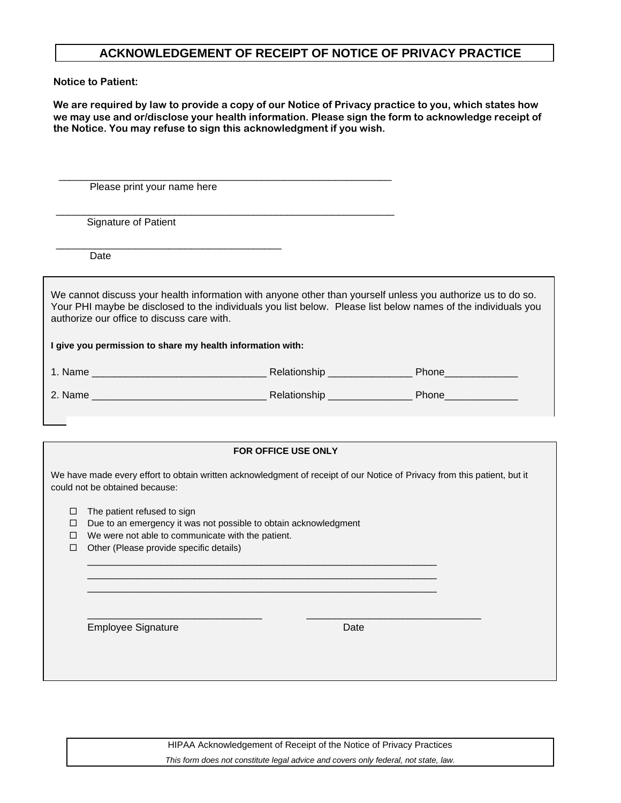#### **ACKNOWLEDGEMENT OF RECEIPT OF NOTICE OF PRIVACY PRACTICE**

**Notice to Patient:**

**We are required by law to provide a copy of our Notice of Privacy practice to you, which states how we may use and or/disclose your health information. Please sign the form to acknowledge receipt of the Notice. You may refuse to sign this acknowledgment if you wish.** 

Please print your name here

\_\_\_\_\_\_\_\_\_\_\_\_\_\_\_\_\_\_\_\_\_\_\_\_\_\_\_\_\_\_\_\_\_\_\_\_\_\_\_\_\_\_\_\_\_\_\_\_\_\_\_\_\_\_\_\_\_\_\_\_ Signature of Patient

\_\_\_\_\_\_\_\_\_\_\_\_\_\_\_\_\_\_\_\_\_\_\_\_\_\_\_\_\_\_\_\_\_\_\_\_\_\_\_\_ Date **Date** and the second contract of the second contract of the second contract of the second contract of the second contract of the second contract of the second contract of the second contract of the second contract of

We cannot discuss your health information with anyone other than yourself unless you authorize us to do so. Your PHI maybe be disclosed to the individuals you list below. Please list below names of the individuals you authorize our office to discuss care with.

**I give you permission to share my health information with:**

| n |  |
|---|--|
|   |  |

2. Name \_\_\_\_\_\_\_\_\_\_\_\_\_\_\_\_\_\_\_\_\_\_\_\_\_\_\_\_\_\_\_ Relationship \_\_\_\_\_\_\_\_\_\_\_\_\_\_\_ Phone\_\_\_\_\_\_\_\_\_\_\_\_\_

\_\_\_\_\_\_\_\_\_\_\_\_\_\_\_\_\_\_\_\_\_\_\_\_\_\_\_\_\_\_\_\_\_\_\_\_\_\_\_\_\_\_\_\_\_\_\_\_\_\_\_\_\_\_\_\_\_\_\_

**FOR OFFICE USE ONLY**

We have made every effort to obtain written acknowledgment of receipt of our Notice of Privacy from this patient, but it could not be obtained because:

\_\_\_\_\_\_\_\_\_\_\_\_\_\_\_\_\_\_\_\_\_\_\_\_\_\_\_\_\_\_\_\_\_\_\_\_\_\_\_\_\_\_\_\_\_\_\_\_\_\_\_\_\_\_\_\_\_\_\_\_\_\_ \_\_\_\_\_\_\_\_\_\_\_\_\_\_\_\_\_\_\_\_\_\_\_\_\_\_\_\_\_\_\_\_\_\_\_\_\_\_\_\_\_\_\_\_\_\_\_\_\_\_\_\_\_\_\_\_\_\_\_\_\_\_ \_\_\_\_\_\_\_\_\_\_\_\_\_\_\_\_\_\_\_\_\_\_\_\_\_\_\_\_\_\_\_\_\_\_\_\_\_\_\_\_\_\_\_\_\_\_\_\_\_\_\_\_\_\_\_\_\_\_\_\_\_\_

\_\_\_\_\_\_\_\_\_\_\_\_\_\_\_\_\_\_\_\_\_\_\_\_\_\_\_\_\_\_\_ \_\_\_\_\_\_\_\_\_\_\_\_\_\_\_\_\_\_\_\_\_\_\_\_\_\_\_\_\_\_\_

- $\Box$  The patient refused to sign
- □ Due to an emergency it was not possible to obtain acknowledgment
- $\Box$  We were not able to communicate with the patient.
- $\Box$  Other (Please provide specific details)

Employee Signature **Date** Date

HIPAA Acknowledgement of Receipt of the Notice of Privacy Practices *This form does not constitute legal advice and covers only federal, not state, law.*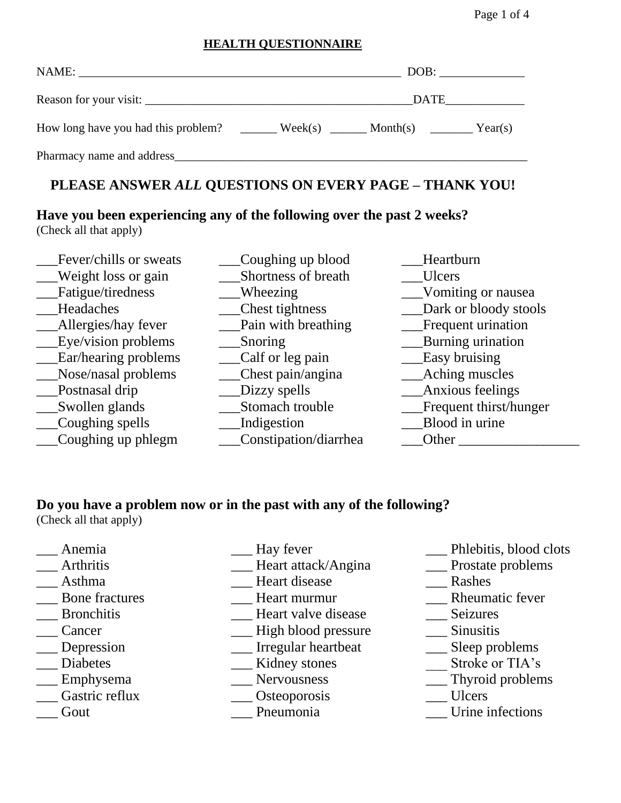#### **HEALTH QUESTIONNAIRE**

|                                                                                                                                                                                                                               | DOB:        |  |
|-------------------------------------------------------------------------------------------------------------------------------------------------------------------------------------------------------------------------------|-------------|--|
|                                                                                                                                                                                                                               | <b>DATE</b> |  |
| How long have you had this problem? Week(s) _______ Month(s) $Year(s)$                                                                                                                                                        |             |  |
| Pharmacy name and address and the contract of the contract of the contract of the contract of the contract of the contract of the contract of the contract of the contract of the contract of the contract of the contract of |             |  |

## **PLEASE ANSWER** *ALL* **QUESTIONS ON EVERY PAGE – THANK YOU!**

### **Have you been experiencing any of the following over the past 2 weeks?** (Check all that apply)

| Fever/chills or sweats | Coughing up blood     | Heartburn               |
|------------------------|-----------------------|-------------------------|
| Weight loss or gain    | Shortness of breath   | <b>Ulcers</b>           |
| Fatigue/tiredness      | Wheezing              | Vomiting or nausea      |
| Headaches              | Chest tightness       | Dark or bloody stools   |
| Allergies/hay fever    | Pain with breathing   | Frequent urination      |
| Eye/vision problems    | Snoring               | Burning urination       |
| Ear/hearing problems   | Calf or leg pain      | <b>Easy bruising</b>    |
| Nose/nasal problems    | Chest pain/angina     | Aching muscles          |
| Postnasal drip         | Dizzy spells          | <b>Anxious feelings</b> |
| Swollen glands         | Stomach trouble       | Frequent thirst/hunger  |
| Coughing spells        | Indigestion           | Blood in urine          |
| Coughing up phlegm     | Constipation/diarrhea | Other                   |

# **Do you have a problem now or in the past with any of the following?**

(Check all that apply)

- \_\_\_ Anemia
- \_\_\_ Arthritis
- \_\_\_ Asthma \_\_\_ Bone fractures
- \_\_\_ Bronchitis
- \_\_\_ Cancer
- \_\_\_ Depression
- \_\_\_ Diabetes
- \_\_\_ Emphysema
- Gastric reflux
- \_\_\_ Gout
- \_\_\_ Hay fever
- \_\_\_ Heart attack/Angina
- \_\_\_ Heart disease
- \_\_\_ Heart murmur
- \_\_ Heart valve disease
- \_\_\_ High blood pressure
- \_\_\_ Irregular heartbeat
- \_\_\_ Kidney stones
- \_\_\_ Nervousness
- \_\_\_ Osteoporosis
- Pneumonia
- \_\_\_ Phlebitis, blood clots
- \_\_\_ Prostate problems
- \_\_\_ Rashes
- \_\_\_ Rheumatic fever
- \_\_\_ Seizures
- \_\_\_ Sinusitis
- \_\_\_ Sleep problems
- Stroke or TIA's
- \_\_\_ Thyroid problems
- \_\_\_ Ulcers
- \_\_\_ Urine infections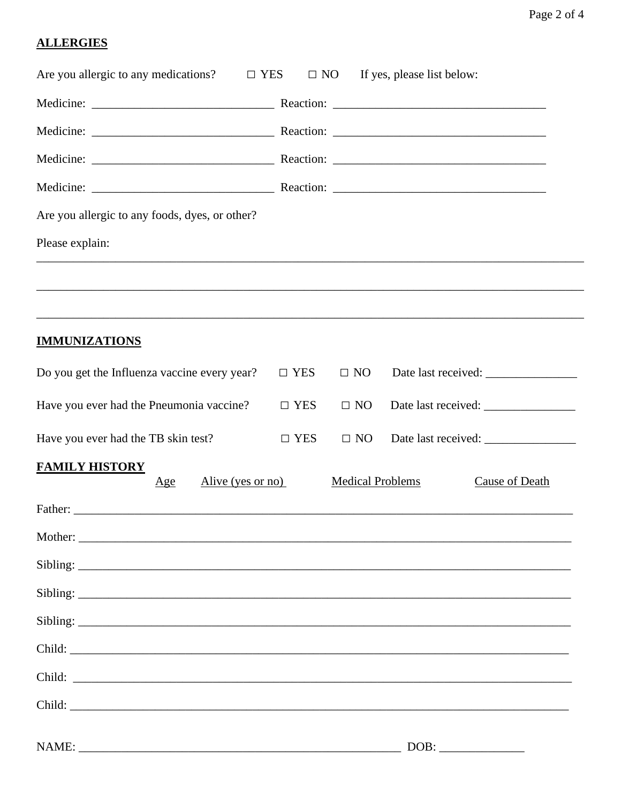## **ALLERGIES**

| Are you allergic to any medications?<br>$\Box$ YES                               | $\Box$ NO     |                         | If yes, please list below: |                |
|----------------------------------------------------------------------------------|---------------|-------------------------|----------------------------|----------------|
|                                                                                  |               |                         |                            |                |
|                                                                                  |               |                         |                            |                |
|                                                                                  |               |                         |                            |                |
|                                                                                  |               |                         |                            |                |
| Are you allergic to any foods, dyes, or other?                                   |               |                         |                            |                |
| Please explain:                                                                  |               |                         |                            |                |
|                                                                                  |               |                         |                            |                |
| ,我们也不会有什么。""我们的人,我们也不会有什么?""我们的人,我们也不会有什么?""我们的人,我们也不会有什么?""我们的人,我们也不会有什么?""我们的人 |               |                         |                            |                |
| <b>IMMUNIZATIONS</b>                                                             |               |                         |                            |                |
| Do you get the Influenza vaccine every year?                                     | $\Box$ YES    | $\Box$ NO               |                            |                |
| Have you ever had the Pneumonia vaccine?                                         | $\square$ YES | $\square$ NO            |                            |                |
| Have you ever had the TB skin test?                                              | $\square$ YES | $\Box$ NO               |                            |                |
| <b>FAMILY HISTORY</b><br>Alive (yes or no)<br>$\underline{Age}$                  |               | <b>Medical Problems</b> |                            | Cause of Death |
| Father:                                                                          |               |                         |                            |                |
|                                                                                  |               |                         |                            |                |
|                                                                                  |               |                         |                            |                |
|                                                                                  |               |                         |                            |                |
|                                                                                  |               |                         |                            |                |
| Child:                                                                           |               |                         |                            |                |
| Child:                                                                           |               |                         |                            |                |
|                                                                                  |               |                         |                            |                |
|                                                                                  |               |                         |                            |                |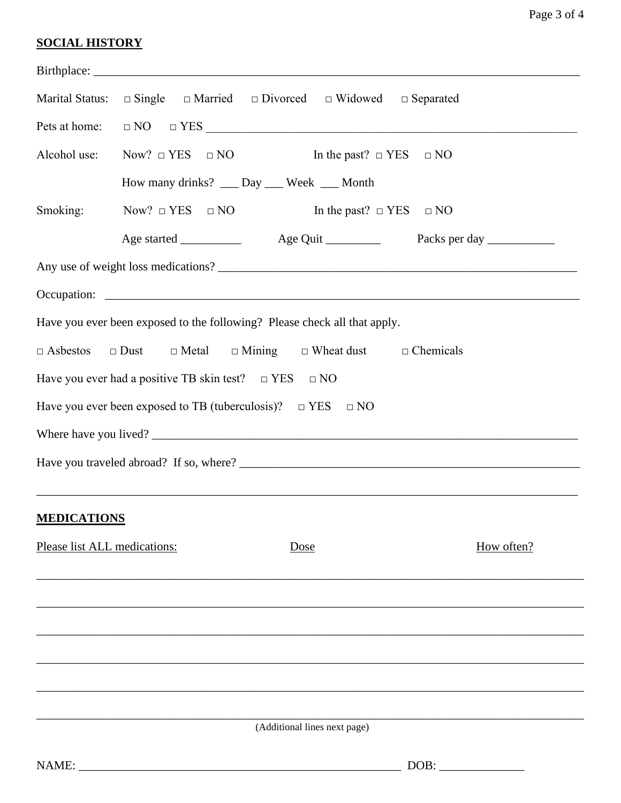### **SOCIAL HISTORY**

| <b>Marital Status:</b>       | $\Box$ Single $\Box$ Married $\Box$ Divorced $\Box$ Widowed<br>$\Box$ Separated           |
|------------------------------|-------------------------------------------------------------------------------------------|
|                              |                                                                                           |
| Alcohol use:                 | Now? $\Box$ YES $\Box$ NO<br>In the past? $\Box$ YES $\Box$ NO                            |
|                              | How many drinks? ___ Day ___ Week ___ Month                                               |
| Smoking:                     | Now? $\Box$ YES $\Box$ NO<br>In the past? $\Box$ YES $\Box$ NO                            |
|                              |                                                                                           |
|                              |                                                                                           |
|                              |                                                                                           |
|                              | Have you ever been exposed to the following? Please check all that apply.                 |
|                              | $\Box$ Asbestos $\Box$ Dust $\Box$ Metal $\Box$ Mining $\Box$ Wheat dust $\Box$ Chemicals |
|                              | Have you ever had a positive TB skin test? $\Box$ YES $\Box$ NO                           |
|                              | Have you ever been exposed to TB (tuberculosis)? $\Box$ YES $\Box$ NO                     |
|                              |                                                                                           |
|                              |                                                                                           |
| <b>MEDICATIONS</b>           |                                                                                           |
| Please list ALL medications: | How often?<br>Dose                                                                        |
|                              |                                                                                           |
|                              |                                                                                           |
|                              |                                                                                           |
|                              |                                                                                           |
|                              |                                                                                           |
|                              | (Additional lines next page)                                                              |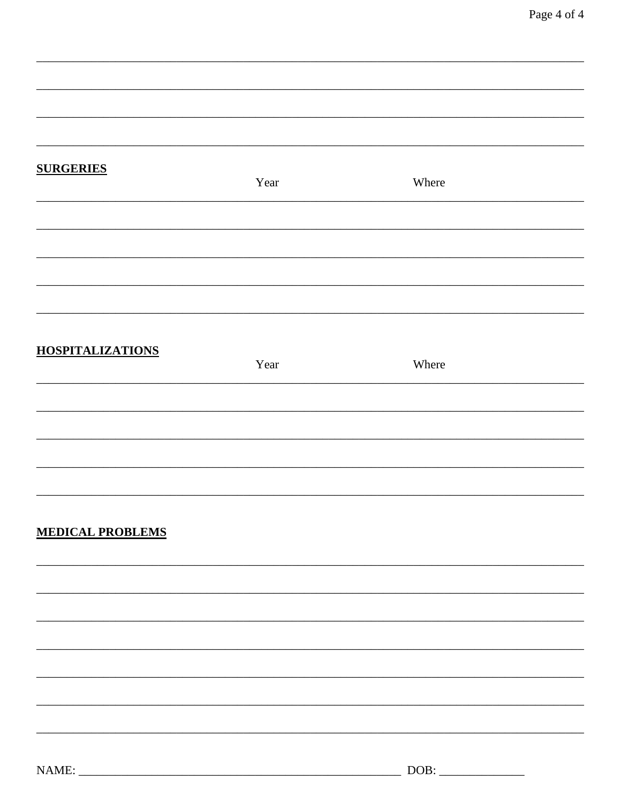| <b>SURGERIES</b>        |      |       |  |
|-------------------------|------|-------|--|
|                         | Year | Where |  |
|                         |      |       |  |
|                         |      |       |  |
|                         |      |       |  |
|                         |      |       |  |
|                         |      |       |  |
|                         |      |       |  |
|                         |      |       |  |
|                         |      |       |  |
|                         |      |       |  |
|                         |      |       |  |
| <b>HOSPITALIZATIONS</b> |      |       |  |
|                         | Year | Where |  |
|                         |      |       |  |
|                         |      |       |  |
|                         |      |       |  |
|                         |      |       |  |
|                         |      |       |  |
|                         |      |       |  |
|                         |      |       |  |
|                         |      |       |  |
|                         |      |       |  |
| <b>MEDICAL PROBLEMS</b> |      |       |  |
|                         |      |       |  |
|                         |      |       |  |
|                         |      |       |  |
|                         |      |       |  |
|                         |      |       |  |
|                         |      |       |  |
|                         |      |       |  |
|                         |      |       |  |
|                         |      |       |  |
|                         |      |       |  |
|                         |      |       |  |
|                         |      |       |  |
|                         |      |       |  |
|                         |      |       |  |
|                         |      |       |  |
|                         |      |       |  |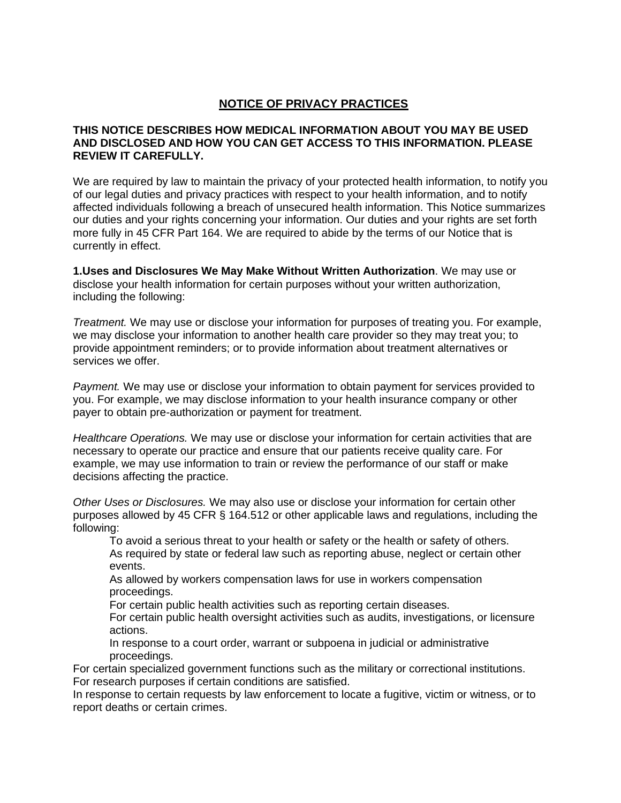### **NOTICE OF PRIVACY PRACTICES**

#### **THIS NOTICE DESCRIBES HOW MEDICAL INFORMATION ABOUT YOU MAY BE USED AND DISCLOSED AND HOW YOU CAN GET ACCESS TO THIS INFORMATION. PLEASE REVIEW IT CAREFULLY.**

We are required by law to maintain the privacy of your protected health information, to notify you of our legal duties and privacy practices with respect to your health information, and to notify affected individuals following a breach of unsecured health information. This Notice summarizes our duties and your rights concerning your information. Our duties and your rights are set forth more fully in 45 CFR Part 164. We are required to abide by the terms of our Notice that is currently in effect.

**1.Uses and Disclosures We May Make Without Written Authorization**. We may use or disclose your health information for certain purposes without your written authorization, including the following:

*Treatment.* We may use or disclose your information for purposes of treating you. For example, we may disclose your information to another health care provider so they may treat you; to provide appointment reminders; or to provide information about treatment alternatives or services we offer.

*Payment.* We may use or disclose your information to obtain payment for services provided to you. For example, we may disclose information to your health insurance company or other payer to obtain pre-authorization or payment for treatment.

*Healthcare Operations.* We may use or disclose your information for certain activities that are necessary to operate our practice and ensure that our patients receive quality care. For example, we may use information to train or review the performance of our staff or make decisions affecting the practice.

*Other Uses or Disclosures.* We may also use or disclose your information for certain other purposes allowed by 45 CFR § 164.512 or other applicable laws and regulations, including the following:

To avoid a serious threat to your health or safety or the health or safety of others. As required by state or federal law such as reporting abuse, neglect or certain other events.

As allowed by workers compensation laws for use in workers compensation proceedings.

For certain public health activities such as reporting certain diseases.

For certain public health oversight activities such as audits, investigations, or licensure actions.

In response to a court order, warrant or subpoena in judicial or administrative proceedings.

For certain specialized government functions such as the military or correctional institutions. For research purposes if certain conditions are satisfied.

In response to certain requests by law enforcement to locate a fugitive, victim or witness, or to report deaths or certain crimes.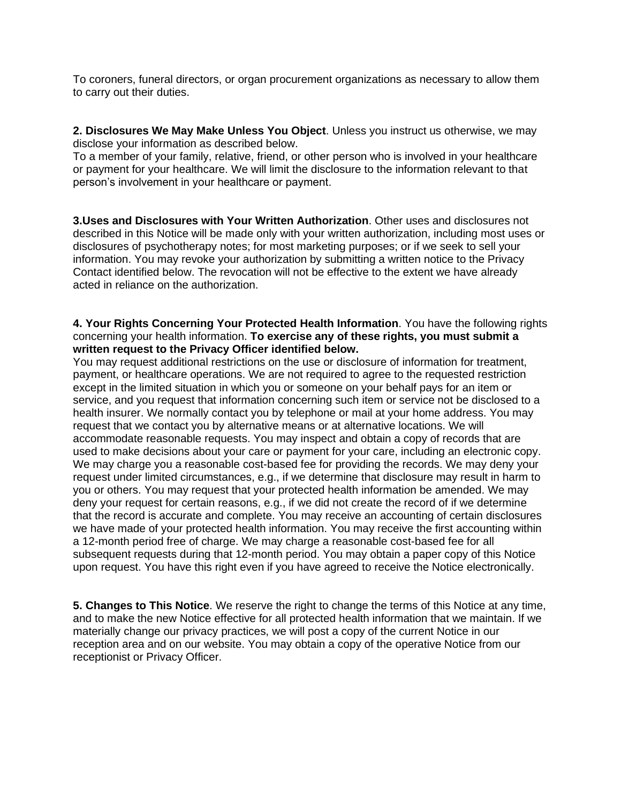To coroners, funeral directors, or organ procurement organizations as necessary to allow them to carry out their duties.

**2. Disclosures We May Make Unless You Object**. Unless you instruct us otherwise, we may disclose your information as described below.

To a member of your family, relative, friend, or other person who is involved in your healthcare or payment for your healthcare. We will limit the disclosure to the information relevant to that person's involvement in your healthcare or payment.

**3.Uses and Disclosures with Your Written Authorization**. Other uses and disclosures not described in this Notice will be made only with your written authorization, including most uses or disclosures of psychotherapy notes; for most marketing purposes; or if we seek to sell your information. You may revoke your authorization by submitting a written notice to the Privacy Contact identified below. The revocation will not be effective to the extent we have already acted in reliance on the authorization.

#### **4. Your Rights Concerning Your Protected Health Information**. You have the following rights concerning your health information. **To exercise any of these rights, you must submit a written request to the Privacy Officer identified below.**

You may request additional restrictions on the use or disclosure of information for treatment, payment, or healthcare operations. We are not required to agree to the requested restriction except in the limited situation in which you or someone on your behalf pays for an item or service, and you request that information concerning such item or service not be disclosed to a health insurer. We normally contact you by telephone or mail at your home address. You may request that we contact you by alternative means or at alternative locations. We will accommodate reasonable requests. You may inspect and obtain a copy of records that are used to make decisions about your care or payment for your care, including an electronic copy. We may charge you a reasonable cost-based fee for providing the records. We may deny your request under limited circumstances, e.g., if we determine that disclosure may result in harm to you or others. You may request that your protected health information be amended. We may deny your request for certain reasons, e.g., if we did not create the record of if we determine that the record is accurate and complete. You may receive an accounting of certain disclosures we have made of your protected health information. You may receive the first accounting within a 12-month period free of charge. We may charge a reasonable cost-based fee for all subsequent requests during that 12-month period. You may obtain a paper copy of this Notice upon request. You have this right even if you have agreed to receive the Notice electronically.

**5. Changes to This Notice**. We reserve the right to change the terms of this Notice at any time, and to make the new Notice effective for all protected health information that we maintain. If we materially change our privacy practices, we will post a copy of the current Notice in our reception area and on our website. You may obtain a copy of the operative Notice from our receptionist or Privacy Officer.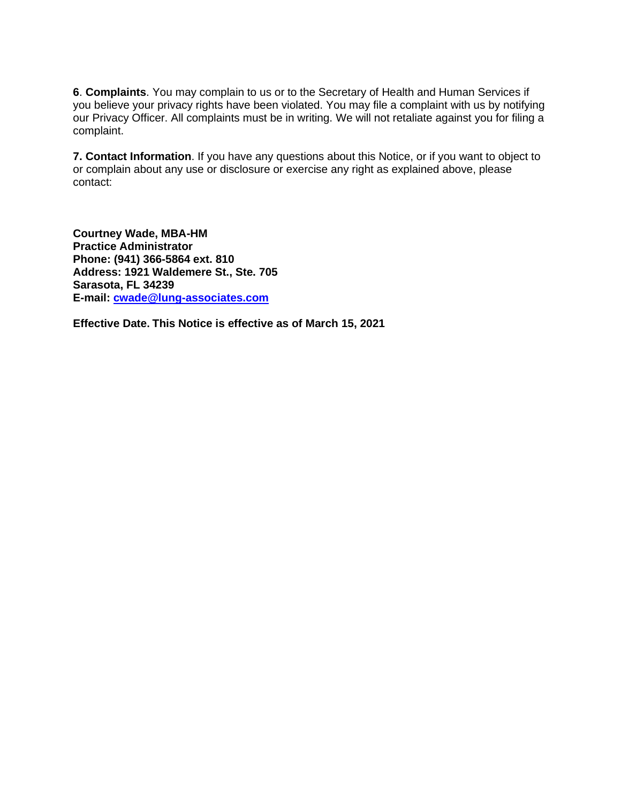**6**. **Complaints**. You may complain to us or to the Secretary of Health and Human Services if you believe your privacy rights have been violated. You may file a complaint with us by notifying our Privacy Officer. All complaints must be in writing. We will not retaliate against you for filing a complaint.

**7. Contact Information**. If you have any questions about this Notice, or if you want to object to or complain about any use or disclosure or exercise any right as explained above, please contact:

**Courtney Wade, MBA-HM Practice Administrator Phone: (941) 366-5864 ext. 810 Address: 1921 Waldemere St., Ste. 705 Sarasota, FL 34239 E-mail: [cwade@lung-associates.com](mailto:cwade@lung-associates.com)**

**Effective Date. This Notice is effective as of March 15, 2021**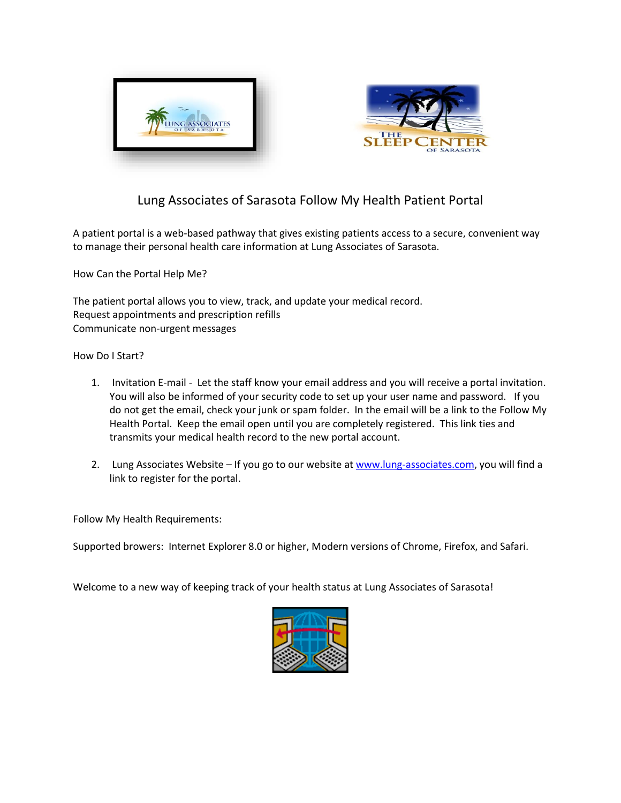



## Lung Associates of Sarasota Follow My Health Patient Portal

A patient portal is a web-based pathway that gives existing patients access to a secure, convenient way to manage their personal health care information at Lung Associates of Sarasota.

How Can the Portal Help Me?

The patient portal allows you to view, track, and update your medical record. Request appointments and prescription refills Communicate non-urgent messages

How Do I Start?

- 1. Invitation E-mail Let the staff know your email address and you will receive a portal invitation. You will also be informed of your security code to set up your user name and password. If you do not get the email, check your junk or spam folder. In the email will be a link to the Follow My Health Portal. Keep the email open until you are completely registered. This link ties and transmits your medical health record to the new portal account.
- 2. Lung Associates Website If you go to our website at [www.lung-associates.com,](http://www.lung-associates.com/) you will find a link to register for the portal.

Follow My Health Requirements:

Supported browers: Internet Explorer 8.0 or higher, Modern versions of Chrome, Firefox, and Safari.

Welcome to a new way of keeping track of your health status at Lung Associates of Sarasota!

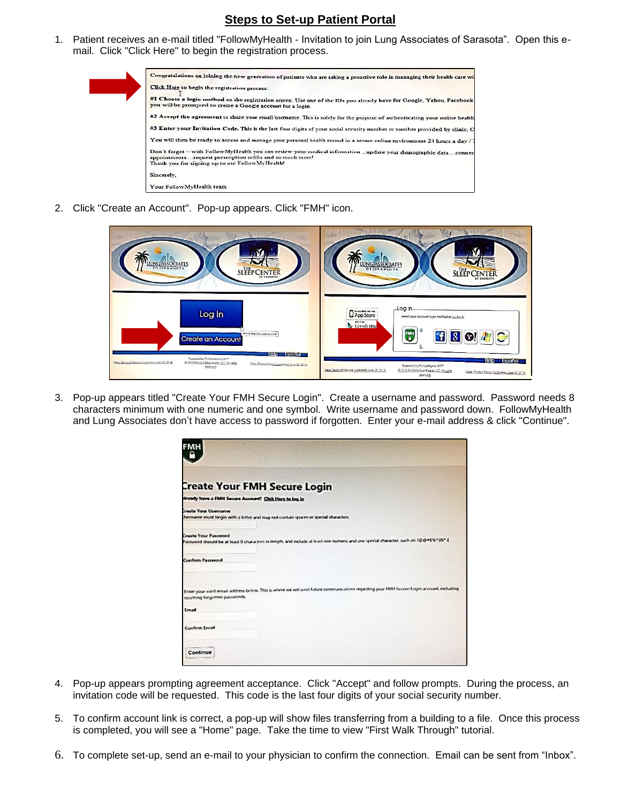### **Steps to Set-up Patient Portal**

1. Patient receives an e-mail titled "FollowMyHealth - Invitation to join Lung Associates of Sarasota". Open this email. Click "Click Here" to begin the registration process.

| Congratulations on joining the new generation of patients who are taking a proactive role in managing their health care wit                                                                                                         |
|-------------------------------------------------------------------------------------------------------------------------------------------------------------------------------------------------------------------------------------|
| Click Here to begin the registration process.                                                                                                                                                                                       |
| #1 Choose a login method on the registration screen. Use one of the IDs you already have for Google, Yahoo, Facebook<br>you will be prompted to create a Google account for a login.                                                |
| #2 Accept the agreement to share your email usemame. This is solely for the purpose of authenticating your online health                                                                                                            |
| #3 Enter your Invitation Code. This is the last four digits of your social security number or number provided by clinic. C                                                                                                          |
| You will then be ready to access and manage your personal health record in a secure online environment 24 hours a day/7                                                                                                             |
| Don't forget - with FollowMyHealth you can review your medical information  update your demographic data connect<br>appointmentsrequest prescription refills and so much more!<br>Thank you for signing up to use Follow My Health! |
| Sincerely,                                                                                                                                                                                                                          |
| Your Follow MyHealth team                                                                                                                                                                                                           |

2. Click "Create an Account". Pop-up appears. Click "FMH" icon.

| <b>LUNG ASSOCIATES</b>                                                | LUNG ASSOCIATES                                                                                                                                        |
|-----------------------------------------------------------------------|--------------------------------------------------------------------------------------------------------------------------------------------------------|
| <b>SLEEP CENTER</b>                                                   | SLEEP CENTER                                                                                                                                           |
| Log In<br>click to log in to your account<br><b>Create an Account</b> | $-$ Log In<br>App Store<br>Select your account login method or Go Back,<br>Coogle play<br>EMB<br>$\mathbf{1}$ 8 $\mathbf{\odot}$ !<br><b>Ay e</b><br>D |
| Heip <b>Españo</b>                                                    | Help Español                                                                                                                                           |
| Powered by FolowMyHealth <sup>ton</sup>                               | Powered by Follow MyHaghy <sup>ne</sup>                                                                                                                |
| New: Terms of Service Jupdated June 25, 2014)                         | New Terms of Service (updated June 25, 2014)                                                                                                           |
| @ 2013 Alscripts Healthcore, LLC All rights                           | @ 2013 Afterints Healthcore, LLC, All rights                                                                                                           |
| New Privacy Folicy (updated June 25, 2014)                            | New Privacy Policy (updated June 25, 2014)                                                                                                             |
| reserved                                                              | reserved                                                                                                                                               |

3. Pop-up appears titled "Create Your FMH Secure Login". Create a username and password. Password needs 8 characters minimum with one numeric and one symbol. Write username and password down. FollowMyHealth and Lung Associates don't have access to password if forgotten. Enter your e-mail address & click "Continue".

| <b>Create Your FMH Secure Login</b>                                                                                                                                                  |
|--------------------------------------------------------------------------------------------------------------------------------------------------------------------------------------|
| Aiready have a FMH Secure Account? Click Here to log in                                                                                                                              |
| Create Your Username<br>Username must begin with a letter and may not contain spaces or special characters                                                                           |
| <b>Create Your Password</b><br>Password should be at least 8 characters in length, and include al least one numeric and one special character, such as: 1@@#\$%^)&* {                |
| <b>Confirm Password</b>                                                                                                                                                              |
| Enter your valid email address below. This is where we will send future communications regarding your FMH Secure Login account, including<br>resetting forgotten passwords.<br>Email |
| <b>Confirm Email</b>                                                                                                                                                                 |
| Continue                                                                                                                                                                             |

- 4. Pop-up appears prompting agreement acceptance. Click "Accept" and follow prompts. During the process, an invitation code will be requested. This code is the last four digits of your social security number.
- 5. To confirm account link is correct, a pop-up will show files transferring from a building to a file. Once this process is completed, you will see a "Home" page. Take the time to view "First Walk Through" tutorial.
- 6. To complete set-up, send an e-mail to your physician to confirm the connection. Email can be sent from "Inbox".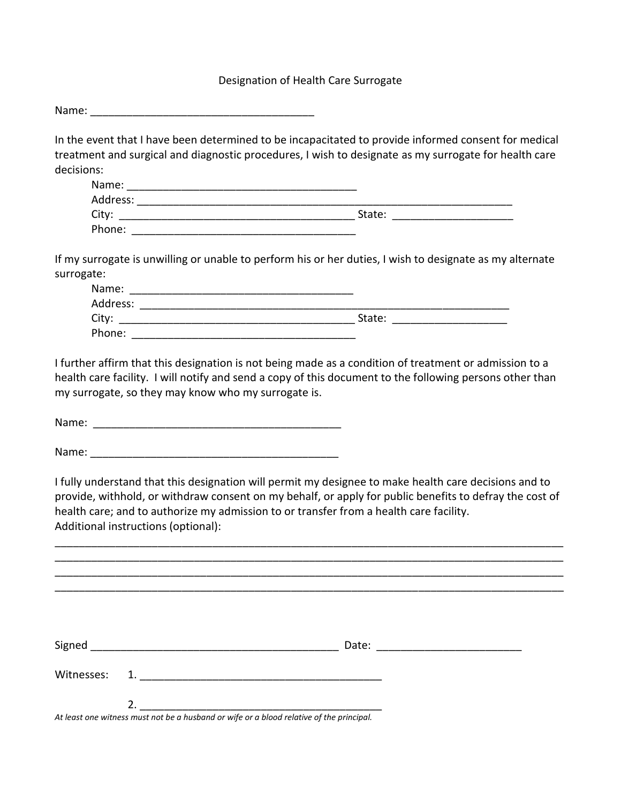#### Designation of Health Care Surrogate

| Name: |  |
|-------|--|
|-------|--|

In the event that I have been determined to be incapacitated to provide informed consent for medical treatment and surgical and diagnostic procedures, I wish to designate as my surrogate for health care decisions:

| Name:    |        |  |
|----------|--------|--|
| Address: |        |  |
| City:    | State: |  |
| Phone:   |        |  |

If my surrogate is unwilling or unable to perform his or her duties, I wish to designate as my alternate surrogate:

| Name:    |        |  |
|----------|--------|--|
| Address: |        |  |
| City:    | State: |  |
| Phone:   |        |  |

I further affirm that this designation is not being made as a condition of treatment or admission to a health care facility. I will notify and send a copy of this document to the following persons other than my surrogate, so they may know who my surrogate is.

Name: \_\_\_\_\_\_\_\_\_\_\_\_\_\_\_\_\_\_\_\_\_\_\_\_\_\_\_\_\_\_\_\_\_\_\_\_\_\_\_\_\_

Name: \_\_\_\_\_\_\_\_\_\_\_\_\_\_\_\_\_\_\_\_\_\_\_\_\_\_\_\_\_\_\_\_\_\_\_\_\_\_\_\_\_

I fully understand that this designation will permit my designee to make health care decisions and to provide, withhold, or withdraw consent on my behalf, or apply for public benefits to defray the cost of health care; and to authorize my admission to or transfer from a health care facility. Additional instructions (optional):

\_\_\_\_\_\_\_\_\_\_\_\_\_\_\_\_\_\_\_\_\_\_\_\_\_\_\_\_\_\_\_\_\_\_\_\_\_\_\_\_\_\_\_\_\_\_\_\_\_\_\_\_\_\_\_\_\_\_\_\_\_\_\_\_\_\_\_\_\_\_\_\_\_\_\_\_\_\_\_\_\_\_\_\_

|            |                                                                                          | Date: ___________________________ |  |
|------------|------------------------------------------------------------------------------------------|-----------------------------------|--|
|            |                                                                                          |                                   |  |
| Witnesses: |                                                                                          |                                   |  |
|            |                                                                                          |                                   |  |
|            |                                                                                          |                                   |  |
|            | At least one witness must not be a husband or wife or a blood relative of the principal. |                                   |  |